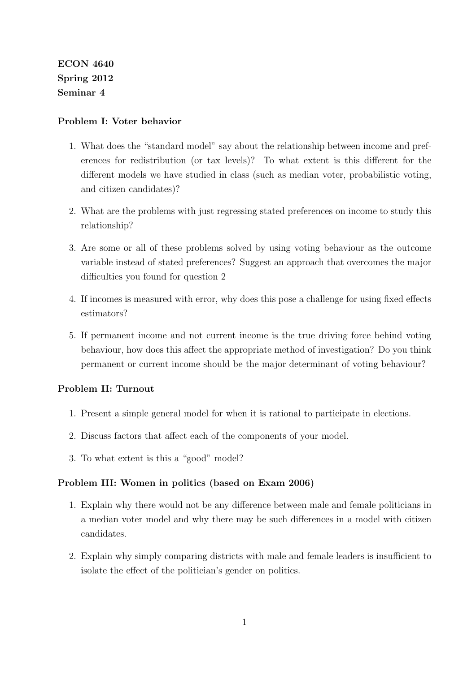ECON 4640 Spring 2012 Seminar 4

## Problem I: Voter behavior

- 1. What does the "standard model" say about the relationship between income and preferences for redistribution (or tax levels)? To what extent is this different for the different models we have studied in class (such as median voter, probabilistic voting, and citizen candidates)?
- 2. What are the problems with just regressing stated preferences on income to study this relationship?
- 3. Are some or all of these problems solved by using voting behaviour as the outcome variable instead of stated preferences? Suggest an approach that overcomes the major difficulties you found for question 2
- 4. If incomes is measured with error, why does this pose a challenge for using fixed effects estimators?
- 5. If permanent income and not current income is the true driving force behind voting behaviour, how does this affect the appropriate method of investigation? Do you think permanent or current income should be the major determinant of voting behaviour?

## Problem II: Turnout

- 1. Present a simple general model for when it is rational to participate in elections.
- 2. Discuss factors that affect each of the components of your model.
- 3. To what extent is this a "good" model?

## Problem III: Women in politics (based on Exam 2006)

- 1. Explain why there would not be any difference between male and female politicians in a median voter model and why there may be such differences in a model with citizen candidates.
- 2. Explain why simply comparing districts with male and female leaders is insufficient to isolate the effect of the politician's gender on politics.